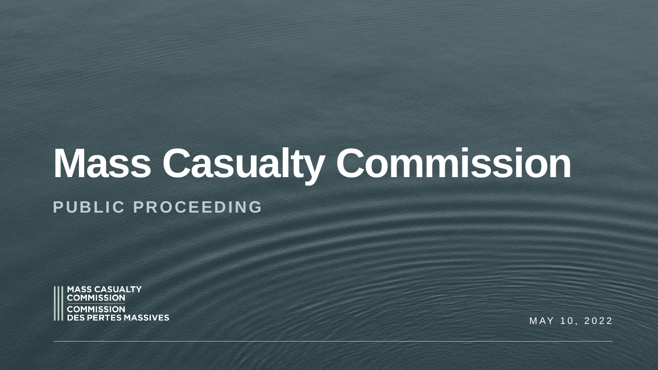# **Mass Casualty Commission**

#### **PUBLIC PROCEEDING**



MAY 10, 2022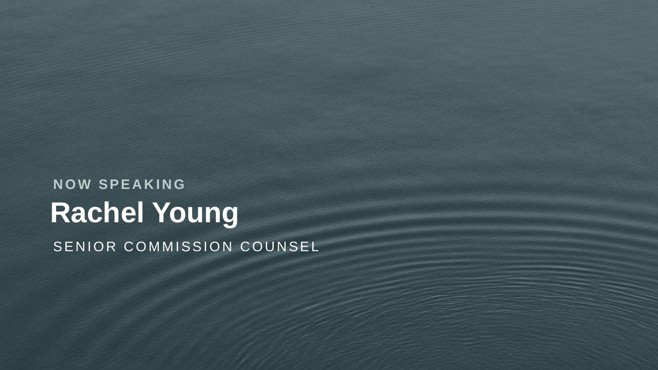#### **Rachel Young N O W S P E A K I N G** SENIOR COMMISSION COUNSEL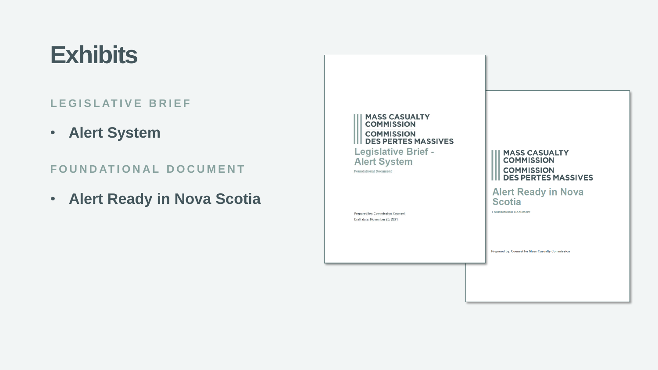#### **Exhibits**

#### LEGISLATIVE BRIEF

• **Alert System**

**FOUNDATIONAL DOCUMENT** 

• **Alert Ready in Nova Scotia**

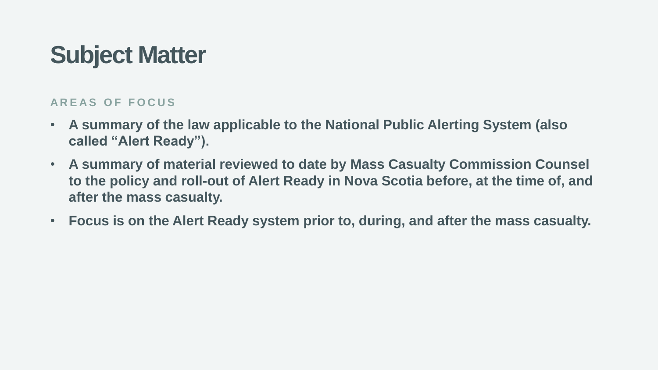## **Subject Matter**

#### **A R E A S O F F O C U S**

- **A summary of the law applicable to the National Public Alerting System (also called "Alert Ready").**
- **A summary of material reviewed to date by Mass Casualty Commission Counsel to the policy and roll-out of Alert Ready in Nova Scotia before, at the time of, and after the mass casualty.**
- **Focus is on the Alert Ready system prior to, during, and after the mass casualty.**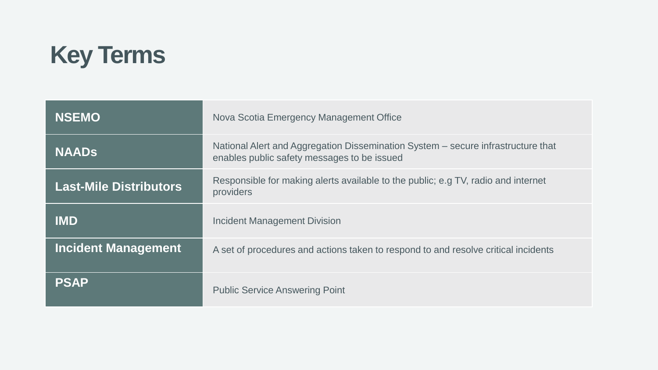

| <b>NSEMO</b>                  | Nova Scotia Emergency Management Office                                                                                         |
|-------------------------------|---------------------------------------------------------------------------------------------------------------------------------|
| <b>NAADS</b>                  | National Alert and Aggregation Dissemination System - secure infrastructure that<br>enables public safety messages to be issued |
| <b>Last-Mile Distributors</b> | Responsible for making alerts available to the public; e.g TV, radio and internet<br>providers                                  |
| <b>IMD</b>                    | Incident Management Division                                                                                                    |
| <b>Incident Management</b>    | A set of procedures and actions taken to respond to and resolve critical incidents                                              |
| <b>PSAP</b>                   | <b>Public Service Answering Point</b>                                                                                           |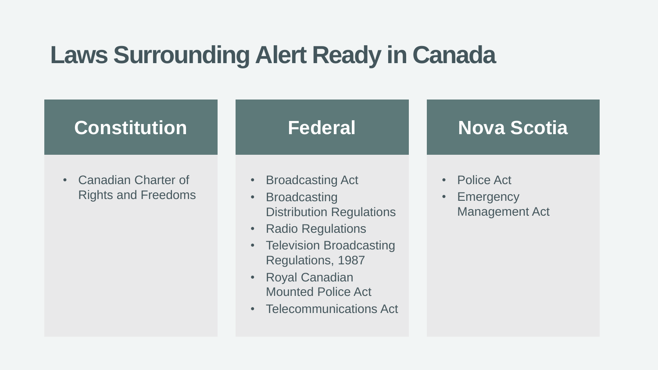### **Laws Surrounding Alert Ready in Canada**



• Canadian Charter of Rights and Freedoms

- Broadcasting Act
- Broadcasting Distribution Regulations
- Radio Regulations
- Television Broadcasting Regulations, 1987
- Royal Canadian Mounted Police Act
- Telecommunications Act

#### **Nova Scotia**

- Police Act
- Emergency Management Act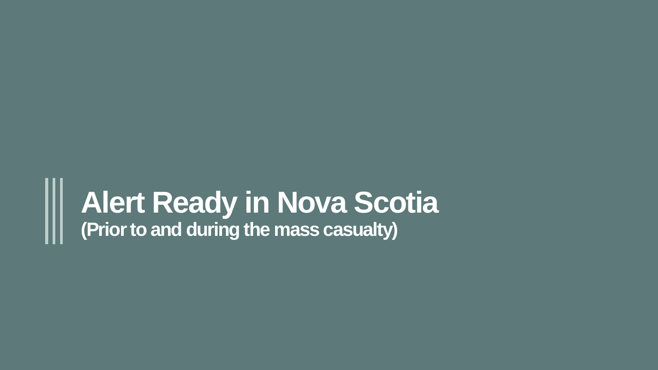## **Alert Ready in Nova Scotia (Prior to and during the mass casualty)**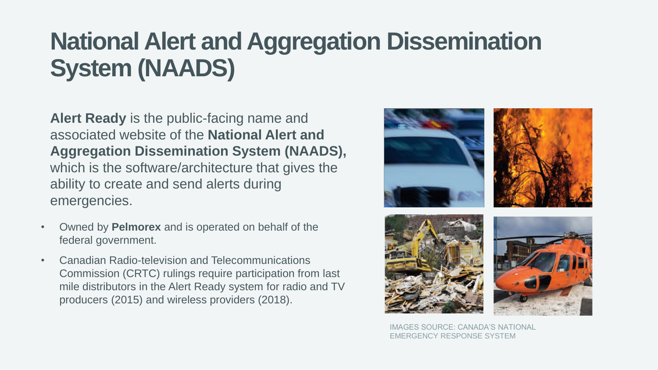## **National Alert and Aggregation Dissemination System (NAADS)**

**Alert Ready** is the public-facing name and associated website of the **National Alert and Aggregation Dissemination System (NAADS),** which is the software/architecture that gives the ability to create and send alerts during emergencies.

- Owned by **Pelmorex** and is operated on behalf of the federal government.
- Canadian Radio-television and Telecommunications Commission (CRTC) rulings require participation from last mile distributors in the Alert Ready system for radio and TV producers (2015) and wireless providers (2018).



IMAGES SOURCE: CANADA'S NATIONAL EMERGENCY RESPONSE SYSTEM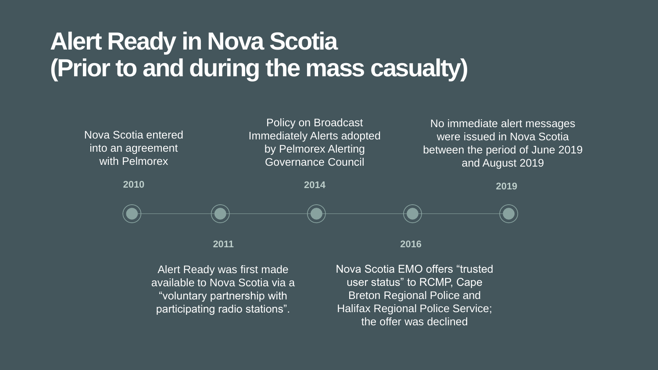## **Alert Ready in Nova Scotia (Prior to and during the mass casualty)**



Alert Ready was first made available to Nova Scotia via a "voluntary partnership with participating radio stations".

Nova Scotia EMO offers "trusted user status" to RCMP, Cape Breton Regional Police and Halifax Regional Police Service; the offer was declined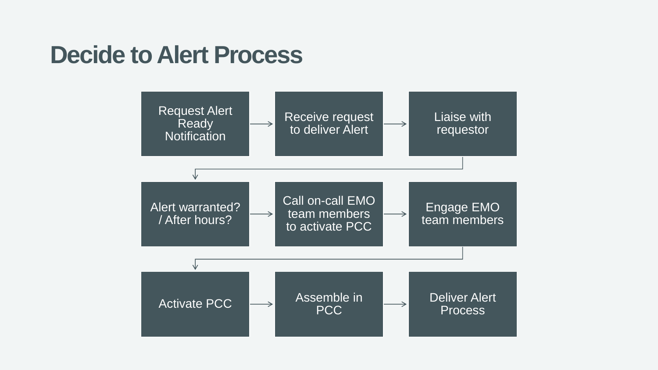#### **Decide to Alert Process**

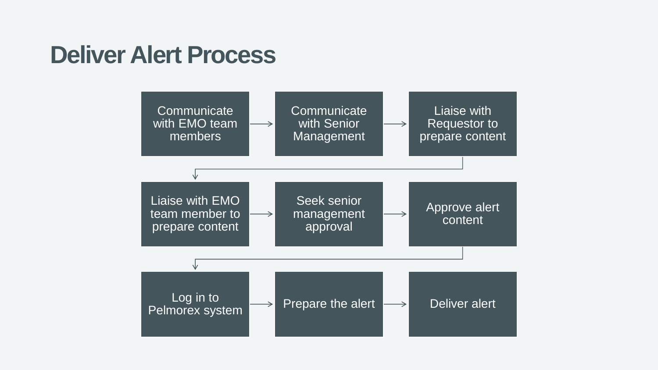#### **Deliver Alert Process**

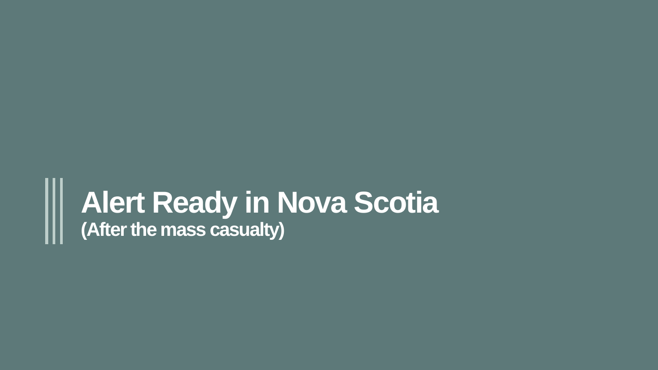## **Alert Ready in Nova Scotia (After the mass casualty)**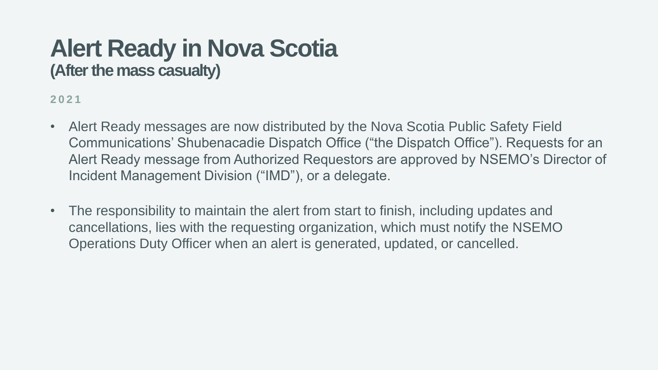#### **Alert Ready in Nova Scotia (After the mass casualty)**

**2021**

- Alert Ready messages are now distributed by the Nova Scotia Public Safety Field Communications' Shubenacadie Dispatch Office ("the Dispatch Office"). Requests for an Alert Ready message from Authorized Requestors are approved by NSEMO's Director of Incident Management Division ("IMD"), or a delegate.
- The responsibility to maintain the alert from start to finish, including updates and cancellations, lies with the requesting organization, which must notify the NSEMO Operations Duty Officer when an alert is generated, updated, or cancelled.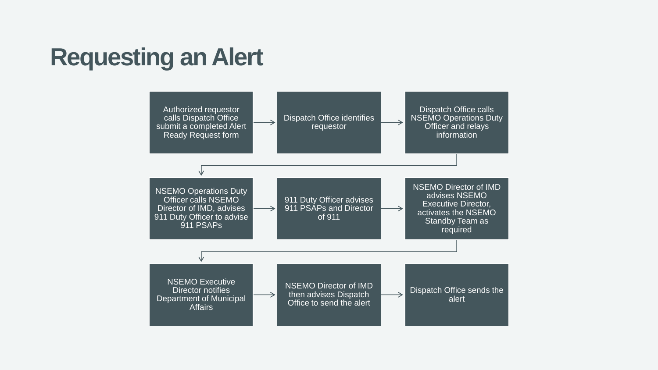#### **Requesting an Alert**

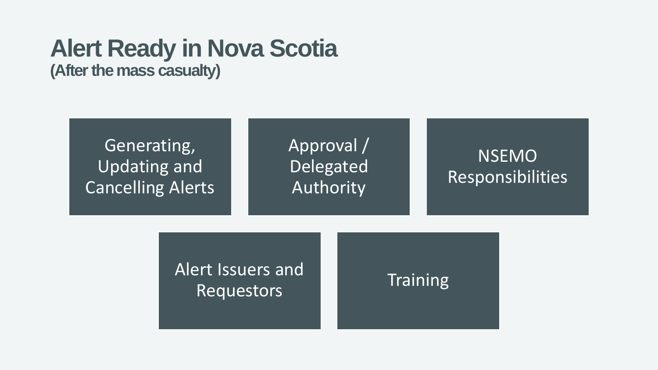## **Alert Ready in Nova Scotia**

**(After the mass casualty)**



Encreased and the Training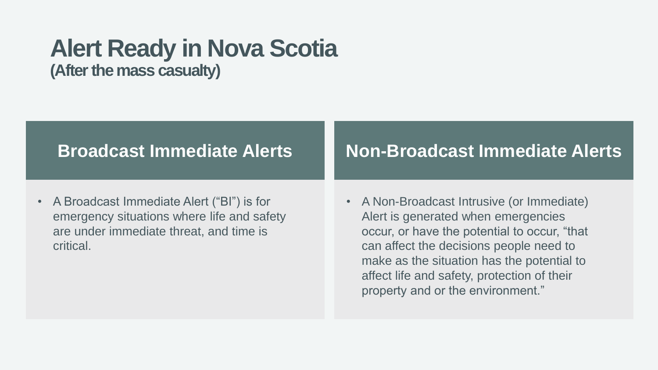## **Alert Ready in Nova Scotia**

**(After the mass casualty)**

#### **Broadcast Immediate Alerts**

• A Broadcast Immediate Alert ("BI") is for emergency situations where life and safety are under immediate threat, and time is critical.

#### **Non-Broadcast Immediate Alerts**

• A Non-Broadcast Intrusive (or Immediate) Alert is generated when emergencies occur, or have the potential to occur, "that can affect the decisions people need to make as the situation has the potential to affect life and safety, protection of their property and or the environment."